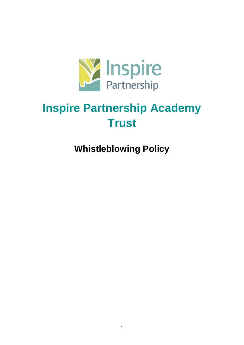

# **Inspire Partnership Academy Trust**

# **Whistleblowing Policy**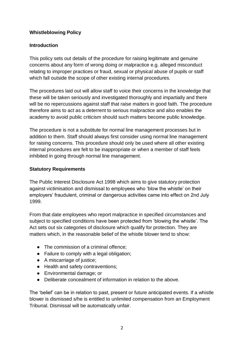#### **Whistleblowing Policy**

#### **Introduction**

This policy sets out details of the procedure for raising legitimate and genuine concerns about any form of wrong doing or malpractice e.g. alleged misconduct relating to improper practices or fraud, sexual or physical abuse of pupils or staff which fall outside the scope of other existing internal procedures.

The procedures laid out will allow staff to voice their concerns in the knowledge that these will be taken seriously and investigated thoroughly and impartially and there will be no repercussions against staff that raise matters in good faith. The procedure therefore aims to act as a deterrent to serious malpractice and also enables the academy to avoid public criticism should such matters become public knowledge.

The procedure is not a substitute for normal line management processes but in addition to them. Staff should always first consider using normal line management for raising concerns. This procedure should only be used where all other existing internal procedures are felt to be inappropriate or when a member of staff feels inhibited in going through normal line management.

#### **Statutory Requirements**

The Public Interest Disclosure Act 1998 which aims to give statutory protection against victimisation and dismissal to employees who 'blow the whistle' on their employers' fraudulent, criminal or dangerous activities came into effect on 2nd July 1999.

From that date employees who report malpractice in specified circumstances and subject to specified conditions have been protected from 'blowing the whistle'. The Act sets out six categories of disclosure which qualify for protection. They are matters which, in the reasonable belief of the whistle blower tend to show:

- The commission of a criminal offence:
- Failure to comply with a legal obligation;
- A miscarriage of justice;
- Health and safety contraventions;
- Environmental damage; or
- Deliberate concealment of information in relation to the above.

The 'belief' can be in relation to past, present or future anticipated events. If a whistle blower is dismissed s/he is entitled to unlimited compensation from an Employment Tribunal. Dismissal will be automatically unfair.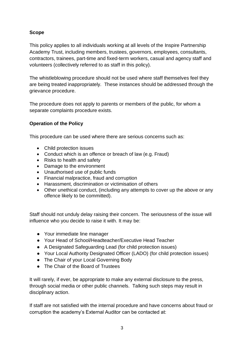# **Scope**

This policy applies to all individuals working at all levels of the Inspire Partnership Academy Trust, including members, trustees, governors, employees, consultants, contractors, trainees, part-time and fixed-term workers, casual and agency staff and volunteers (collectively referred to as staff in this policy).

The whistleblowing procedure should not be used where staff themselves feel they are being treated inappropriately. These instances should be addressed through the grievance procedure.

The procedure does not apply to parents or members of the public, for whom a separate complaints procedure exists.

# **Operation of the Policy**

This procedure can be used where there are serious concerns such as:

- Child protection issues
- Conduct which is an offence or breach of law (e.g. Fraud)
- Risks to health and safety
- Damage to the environment
- Unauthorised use of public funds
- Financial malpractice, fraud and corruption
- Harassment, discrimination or victimisation of others
- Other unethical conduct, (including any attempts to cover up the above or any offence likely to be committed).

Staff should not unduly delay raising their concern. The seriousness of the issue will influence who you decide to raise it with. It may be:

- Your immediate line manager
- Your Head of School/Headteacher/Executive Head Teacher
- A Designated Safeguarding Lead (for child protection issues)
- Your Local Authority Designated Officer (LADO) (for child protection issues)
- The Chair of your Local Governing Body
- The Chair of the Board of Trustees

It will rarely, if ever, be appropriate to make any external disclosure to the press, through social media or other public channels. Talking such steps may result in disciplinary action.

If staff are not satisfied with the internal procedure and have concerns about fraud or corruption the academy's External Auditor can be contacted at: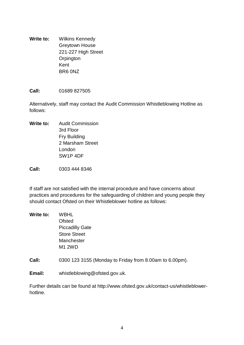**Write to:** Wilkins Kennedy Greytown House 221-227 High Street **Orpington** Kent BR6 0NZ

#### **Call:** 01689 827505

Alternatively, staff may contact the Audit Commission Whistleblowing Hotline as follows:

**Write to:** Audit Commission 3rd Floor Fry Building 2 Marsham Street London SW1P 4DF

**Call:** 0303 444 8346

If staff are not satisfied with the internal procedure and have concerns about practices and procedures for the safeguarding of children and young people they should contact Ofsted on their Whistleblower hotline as follows:

- **Write to:** WBHL Ofsted Piccadilly Gate Store Street **Manchester** M1 2WD
- **Call:** 0300 123 3155 (Monday to Friday from 8.00am to 6.00pm).

**Email:** whistleblowing@ofsted.gov.uk.

Further details can be found at http://www.ofsted.gov.uk/contact-us/whistleblowerhotline.